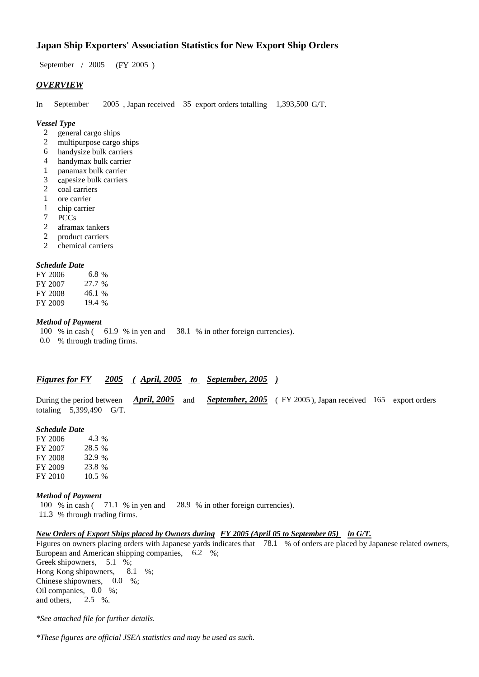# **Japan Ship Exporters' Association Statistics for New Export Ship Orders**

September / 2005 (FY 2005 )

### *OVERVIEW*

In September 2005 , Japan received 35 export orders totalling 1,393,500 G/T.

#### *Vessel Type*

- 2 general cargo ships
- 2 multipurpose cargo ships
- 6 handysize bulk carriers
- 4 handymax bulk carrier
- 1 panamax bulk carrier
- 3 capesize bulk carriers
- 2 coal carriers
- 1 ore carrier
- 1 chip carrier
- 7 PCCs
- 2 aframax tankers
- 2 product carriers
- 2 chemical carriers

#### *Schedule Date*

| FY 2006 | 6.8 %  |
|---------|--------|
| FY 2007 | 27.7 % |
| FY 2008 | 46.1 % |
| FY 2009 | 19.4 % |

#### *Method of Payment*

100 % in cash ( 61.9 % in yen and 38.1 % in other foreign currencies). 0.0 % through trading firms.

# *Figures for FY 2005 ( April, 2005 to September, 2005 )*

During the period between *April, 2005* and *September, 2005* (FY 2005), Japan received 165 export orders totaling 5,399,490 G/T.

#### *Schedule Date*

FY 2006 4.3 % FY 2007 28.5 % FY 2008 32.9 % FY 2009 23.8 % FY 2010 10.5 %

#### *Method of Payment*

100 % in cash ( 71.1 % in yen and 28.9 % in other foreign currencies). 11.3 % through trading firms.

## *New Orders of Export Ships placed by Owners during FY 2005 (April 05 to September 05) in G/T.*

Figures on owners placing orders with Japanese yards indicates that 78.1 % of orders are placed by Japanese related owners, European and American shipping companies, 6.2 %; Greek shipowners, 5.1 %; Hong Kong shipowners, 8.1 %; Chinese shipowners, 0.0 %; Oil companies, 0.0 %; and others, 2.5 %.

*\*See attached file for further details.*

*\*These figures are official JSEA statistics and may be used as such.*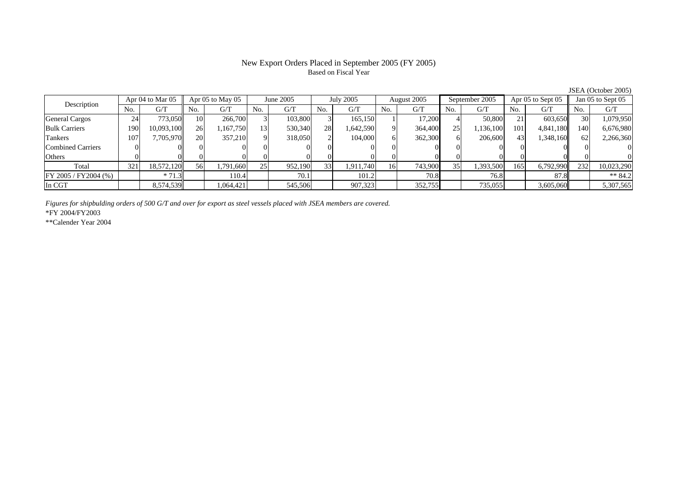### New Export Orders Placed in September 2005 (FY 2005) Based on Fiscal Year

JSEA (October 2005)<br>Jan 05 to Sept 05 Description Apr 04 to Mar 05 Apr 05 to May 05 June 2005 July 2005 August 2005 September 2005 Apr 05 to Sept 05 Jan 05 to Sept 05 No. $No.$   $G/T$ T || No. | G/T || No. | G/T || No. | G/T || No. | G/T || G/T || No. | G/T || No. | G/T || No. | G/T General Cargos | 24 | 773,050|| 10| 266,700| 3| 103,800| 3| 165,150| 1| 17,200| 4| 50,800| 21| 603,650|| 30| 1,079,950 Bulk Carriers 1900| 10,093,100|| 26| 1,167,750| 13| 530,340| 28| 1,642,590| 9| 364,400| 25| 1,136,100| 101| 4,841,180|| 140| 6,676,980 Tankers 1077| 7,705,970|| 20| 357,210| 9| 318,050| 2| 104,000| 6| 362,300| 6| 206,600| 43| 1,348,160|| 62| 2,266,360 Combined Carriers 1 0 0 0 0 0 0 0 0 0 0 0 0 0 0 0 0 **Others** s and  $\vert 0$  0 0 0 0 0 0 0 0 0 0 0 0 0 0 0 Total 321 18,572,120 56 1,791,660 25 952,190 33 1,911,740 16 743,900 35 1,393,500 165 6,792,990 232 10,023,290  $\boxed{\text{FY 2005 / FY2004 } (\%) }$  \* 71.3 110.4 70.1 10.4 70.1 101.2 70.8 7.8 76.8 87.8 \*\* 84.2 In CGT8,574,539 1,064,421 545,506 907,323 352,755 735,055 3,605,060 5,307,565

*Figures for shipbulding orders of 500 G/T and over for export as steel vessels placed with JSEA members are covered.*

\*FY 2004/FY2003

\*\*Calender Year 2004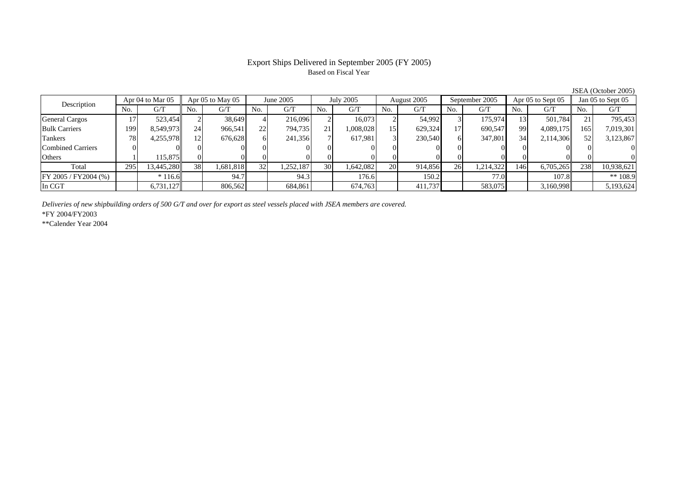# Based on Fiscal Year

Description Apr 04 to Mar 05 Apr 05 to May 05 June 2005 July 2005 August 2005 September 2005 Apr 05 to Sept 05 Jan 05 to Sept 05 No.No.  $G/T$ T || No. | G/T || No. | G/T || No. | G/T || No. | G/T || G/T || No. | G/T || No. | G/T || No. | G/T General Cargos († 17 523,454 2 38,649 4 216,096 2 16,073 2 54,992 3 175,974 13 501,784 21 795,453 Bulk Carriers 1999| 8,549,973|| 24| 966,541| 22| 794,735| 21| 1,008,028| 15| 629,324| 17| 690,547| 99| 4,089,175|| 165| 7,019,301 Tankers 788| 4,255,978|| 12| 676,628| 6| 241,356| 7| 617,981| 3| 230,540| 6| 347,801| 34| 2,114,306|| 52| 3,123,867 Combined Carriers 0 0 0 0 0 0 0 0 0 0 0 0 0 0 0 0 **Others** s and  $1$  115,875 0 0 0 0 0 0 0 0 0 0 0 0 0 0 Total 295 13,445,280 38 1,681,818 32 1,252,187 30 1,642,082 20 914,856 26 1,214,322 146 6,705,265 238 10,938,621 FY 2005 / FY2004 (%) \* 116.6 94.7 94.3 176.6 150.2 77.0 107.8 \*\* 108.9 In CGT6,731,127 806,562 684,861 674,763 411,737 583,075 3,160,998 5,193,624

*Deliveries of new shipbuilding orders of 500 G/T and over for export as steel vessels placed with JSEA members are covered.*

\*FY 2004/FY2003

\*\*Calender Year 2004

JSEA (October 2005)

# Export Ships Delivered in September 2005 (FY 2005)